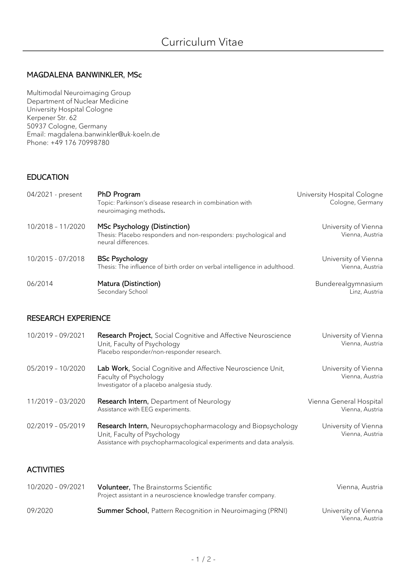### MAGDALENA BANWINKLER, MSc

Multimodal Neuroimaging Group Department of Nuclear Medicine University Hospital Cologne Kerpener Str. 62 50937 Cologne, Germany Email: magdalena.banwinkler@uk-koeln.de Phone: +49 176 70998780

## EDUCATION

| 04/2021 - present | PhD Program<br>Topic: Parkinson's disease research in combination with<br>neuroimaging methods.                         | University Hospital Cologne<br>Cologne, Germany |
|-------------------|-------------------------------------------------------------------------------------------------------------------------|-------------------------------------------------|
| 10/2018 - 11/2020 | MSc Psychology (Distinction)<br>Thesis: Placebo responders and non-responders: psychological and<br>neural differences. | University of Vienna<br>Vienna, Austria         |
| 10/2015 - 07/2018 | <b>BSc Psychology</b><br>Thesis: The influence of birth order on verbal intelligence in adulthood.                      | University of Vienna<br>Vienna, Austria         |
| 06/2014           | Matura (Distinction)<br>Secondary School                                                                                | Bunderealgymnasium<br>Linz, Austria             |

#### RESEARCH EXPERIENCE

| 10/2019 - 09/2021 | <b>Research Project, Social Cognitive and Affective Neuroscience</b><br>Unit, Faculty of Psychology<br>Placebo responder/non-responder research.                  | University of Vienna<br>Vienna, Austria    |
|-------------------|-------------------------------------------------------------------------------------------------------------------------------------------------------------------|--------------------------------------------|
| 05/2019 - 10/2020 | <b>Lab Work,</b> Social Cognitive and Affective Neuroscience Unit,<br>Faculty of Psychology<br>Investigator of a placebo analgesia study.                         | University of Vienna<br>Vienna, Austria    |
| 11/2019 - 03/2020 | <b>Research Intern, Department of Neurology</b><br>Assistance with EEG experiments.                                                                               | Vienna General Hospital<br>Vienna, Austria |
| 02/2019 - 05/2019 | Research Intern, Neuropsychopharmacology and Biopsychology<br>Unit, Faculty of Psychology<br>Assistance with psychopharmacological experiments and data analysis. | University of Vienna<br>Vienna, Austria    |

## **ACTIVITIES**

| 10/2020 - 09/2021 | <b>Volunteer,</b> The Brainstorms Scientific<br>Project assistant in a neuroscience knowledge transfer company. | Vienna, Austria                         |
|-------------------|-----------------------------------------------------------------------------------------------------------------|-----------------------------------------|
| 09/2020           | <b>Summer School, Pattern Recognition in Neuroimaging (PRNI)</b>                                                | University of Vienna<br>Vienna, Austria |